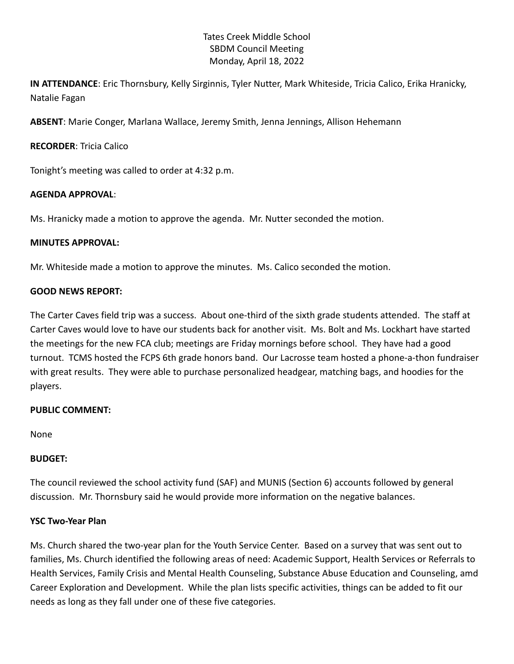## Tates Creek Middle School SBDM Council Meeting Monday, April 18, 2022

**IN ATTENDANCE**: Eric Thornsbury, Kelly Sirginnis, Tyler Nutter, Mark Whiteside, Tricia Calico, Erika Hranicky, Natalie Fagan

**ABSENT**: Marie Conger, Marlana Wallace, Jeremy Smith, Jenna Jennings, Allison Hehemann

## **RECORDER**: Tricia Calico

Tonight's meeting was called to order at 4:32 p.m.

# **AGENDA APPROVAL**:

Ms. Hranicky made a motion to approve the agenda. Mr. Nutter seconded the motion.

## **MINUTES APPROVAL:**

Mr. Whiteside made a motion to approve the minutes. Ms. Calico seconded the motion.

# **GOOD NEWS REPORT:**

The Carter Caves field trip was a success. About one-third of the sixth grade students attended. The staff at Carter Caves would love to have our students back for another visit. Ms. Bolt and Ms. Lockhart have started the meetings for the new FCA club; meetings are Friday mornings before school. They have had a good turnout. TCMS hosted the FCPS 6th grade honors band. Our Lacrosse team hosted a phone-a-thon fundraiser with great results. They were able to purchase personalized headgear, matching bags, and hoodies for the players.

# **PUBLIC COMMENT:**

None

## **BUDGET:**

The council reviewed the school activity fund (SAF) and MUNIS (Section 6) accounts followed by general discussion. Mr. Thornsbury said he would provide more information on the negative balances.

## **YSC Two-Year Plan**

Ms. Church shared the two-year plan for the Youth Service Center. Based on a survey that was sent out to families, Ms. Church identified the following areas of need: Academic Support, Health Services or Referrals to Health Services, Family Crisis and Mental Health Counseling, Substance Abuse Education and Counseling, amd Career Exploration and Development. While the plan lists specific activities, things can be added to fit our needs as long as they fall under one of these five categories.